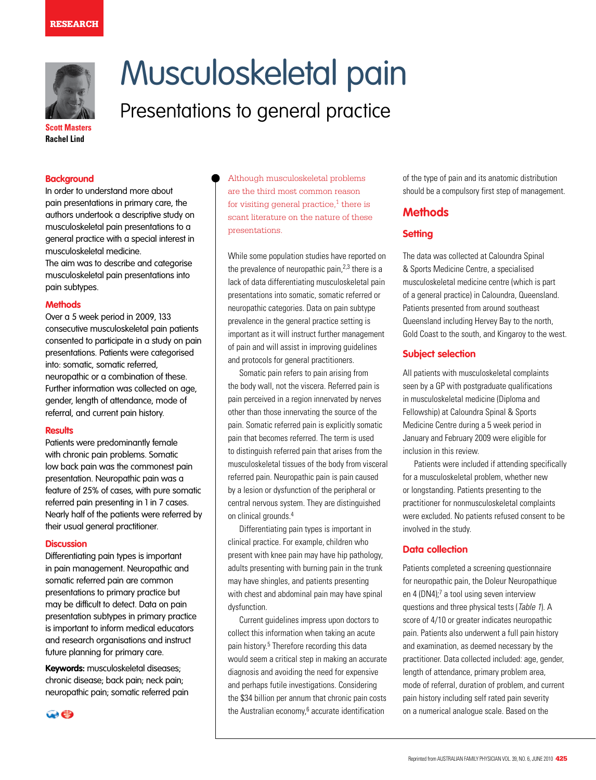

# Musculoskeletal pain

# Presentations to general practice

**Scott Masters Rachel Lind**

#### **Background**

In order to understand more about pain presentations in primary care, the authors undertook a descriptive study on musculoskeletal pain presentations to a general practice with a special interest in musculoskeletal medicine.

The aim was to describe and categorise musculoskeletal pain presentations into pain subtypes.

#### **Methods**

Over a 5 week period in 2009, 133 consecutive musculoskeletal pain patients consented to participate in a study on pain presentations. Patients were categorised into: somatic, somatic referred, neuropathic or a combination of these. Further information was collected on age, gender, length of attendance, mode of referral, and current pain history.

#### **Results**

Patients were predominantly female with chronic pain problems. Somatic low back pain was the commonest pain presentation. Neuropathic pain was a feature of 25% of cases, with pure somatic referred pain presenting in 1 in 7 cases. Nearly half of the patients were referred by their usual general practitioner.

#### **Discussion**

Differentiating pain types is important in pain management. Neuropathic and somatic referred pain are common presentations to primary practice but may be difficult to detect. Data on pain presentation subtypes in primary practice is important to inform medical educators and research organisations and instruct future planning for primary care.

**Keywords:** musculoskeletal diseases; chronic disease; back pain; neck pain; neuropathic pain; somatic referred pain



Although musculoskeletal problems are the third most common reason for visiting general practice, $1$  there is scant literature on the nature of these presentations.

While some population studies have reported on the prevalence of neuropathic pain,<sup>2,3</sup> there is a lack of data differentiating musculoskeletal pain presentations into somatic, somatic referred or neuropathic categories. Data on pain subtype prevalence in the general practice setting is important as it will instruct further management of pain and will assist in improving guidelines and protocols for general practitioners.

Somatic pain refers to pain arising from the body wall, not the viscera. Referred pain is pain perceived in a region innervated by nerves other than those innervating the source of the pain. Somatic referred pain is explicitly somatic pain that becomes referred. The term is used to distinguish referred pain that arises from the musculoskeletal tissues of the body from visceral referred pain. Neuropathic pain is pain caused by a lesion or dysfunction of the peripheral or central nervous system. They are distinguished on clinical grounds.4

Differentiating pain types is important in clinical practice. For example, children who present with knee pain may have hip pathology, adults presenting with burning pain in the trunk may have shingles, and patients presenting with chest and abdominal pain may have spinal dysfunction.

Current guidelines impress upon doctors to collect this information when taking an acute pain history.<sup>5</sup> Therefore recording this data would seem a critical step in making an accurate diagnosis and avoiding the need for expensive and perhaps futile investigations. Considering the \$34 billion per annum that chronic pain costs the Australian economy,<sup>6</sup> accurate identification

of the type of pain and its anatomic distribution should be a compulsory first step of management.

# **Methods**

#### **Setting**

The data was collected at Caloundra Spinal & Sports Medicine Centre, a specialised musculoskeletal medicine centre (which is part of a general practice) in Caloundra, Queensland. Patients presented from around southeast Queensland including Hervey Bay to the north, Gold Coast to the south, and Kingaroy to the west.

#### **Subject selection**

All patients with musculoskeletal complaints seen by a GP with postgraduate qualifications in musculoskeletal medicine (Diploma and Fellowship) at Caloundra Spinal & Sports Medicine Centre during a 5 week period in January and February 2009 were eligible for inclusion in this review.

Patients were included if attending specifically for a musculoskeletal problem, whether new or longstanding. Patients presenting to the practitioner for nonmusculoskeletal complaints were excluded. No patients refused consent to be involved in the study.

#### **Data collection**

Patients completed a screening questionnaire for neuropathic pain, the Doleur Neuropathique en 4 (DN4);<sup>7</sup> a tool using seven interview questions and three physical tests (Table 1). A score of 4/10 or greater indicates neuropathic pain. Patients also underwent a full pain history and examination, as deemed necessary by the practitioner. Data collected included: age, gender, length of attendance, primary problem area, mode of referral, duration of problem, and current pain history including self rated pain severity on a numerical analogue scale. Based on the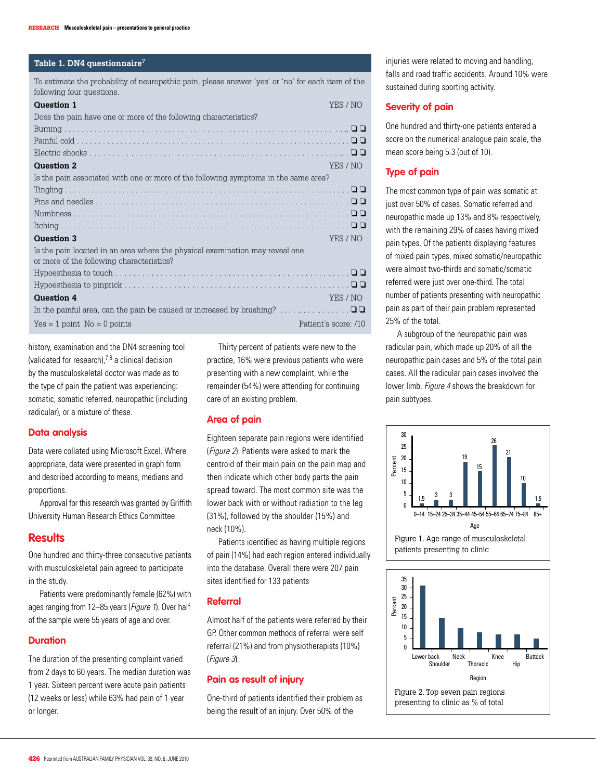#### **Table 1. DN4 questionnaire7**

To estimate the probability of neuropathic pain, please answer 'yes' or 'no' for each item of the following four questions.

| <b>Question 1</b>                                                                   | YES / NO             |
|-------------------------------------------------------------------------------------|----------------------|
| Does the pain have one or more of the following characteristics?                    |                      |
|                                                                                     |                      |
|                                                                                     |                      |
|                                                                                     |                      |
| <b>Question 2</b>                                                                   | YES / NO             |
| Is the pain associated with one or more of the following symptoms in the same area? |                      |
|                                                                                     |                      |
|                                                                                     |                      |
|                                                                                     |                      |
|                                                                                     |                      |
| <b>Question 3</b>                                                                   | YES / NO             |
| Is the pain located in an area where the physical examination may reveal one        |                      |
| or more of the following characteristics?                                           |                      |
|                                                                                     |                      |
|                                                                                     |                      |
| <b>Question 4</b>                                                                   | YES / NO             |
|                                                                                     |                      |
| $Yes = 1 point No = 0 points$                                                       | Patient's score: /10 |
|                                                                                     |                      |

history, examination and the DN4 screening tool (validated for research),7,8 a clinical decision by the musculoskeletal doctor was made as to the type of pain the patient was experiencing: somatic, somatic referred, neuropathic (including radicular), or a mixture of these.

#### **Data analysis**

Data were collated using Microsoft Excel. Where appropriate, data were presented in graph form and described according to means, medians and proportions.

Approval for this research was granted by Griffith University Human Research Ethics Committee.

### **Results**

One hundred and thirty-three consecutive patients with musculoskeletal pain agreed to participate in the study.

Patients were predominantly female (62%) with ages ranging from 12–85 years (Figure 1). Over half of the sample were 55 years of age and over.

#### **Duration**

The duration of the presenting complaint varied from 2 days to 60 years. The median duration was 1 year. Sixteen percent were acute pain patients (12 weeks or less) while 63% had pain of 1 year or longer.

Thirty percent of patients were new to the practice, 16% were previous patients who were presenting with a new complaint, while the remainder (54%) were attending for continuing care of an existing problem.

#### **Area of pain**

Eighteen separate pain regions were identified (Figure 2). Patients were asked to mark the centroid of their main pain on the pain map and then indicate which other body parts the pain spread toward. The most common site was the lower back with or without radiation to the leg (31%), followed by the shoulder (15%) and neck (10%).

Patients identified as having multiple regions of pain (14%) had each region entered individually into the database. Overall there were 207 pain sites identified for 133 patients

#### **Referral**

Almost half of the patients were referred by their GP. Other common methods of referral were self referral (21%) and from physiotherapists (10%) (Figure 3).

## **Pain as result of injury**

One-third of patients identified their problem as being the result of an injury. Over 50% of the

injuries were related to moving and handling. falls and road traffic accidents. Around 10% were sustained during sporting activity.

#### **Severity of pain**

One hundred and thirty-one patients entered a score on the numerical analogue pain scale, the mean score being 5.3 (out of 10).

#### **Type of pain**

The most common type of pain was somatic at just over 50% of cases. Somatic referred and neuropathic made up 13% and 8% respectively, with the remaining 29% of cases having mixed pain types. Of the patients displaying features of mixed pain types, mixed somatic/neuropathic were almost two-thirds and somatic/somatic referred were just over one-third. The total number of patients presenting with neuropathic pain as part of their pain problem represented 25% of the total.

A subgroup of the neuropathic pain was radicular pain, which made up 20% of all the neuropathic pain cases and 5% of the total pain cases. All the radicular pain cases involved the lower limb. Figure 4 shows the breakdown for pain subtypes.



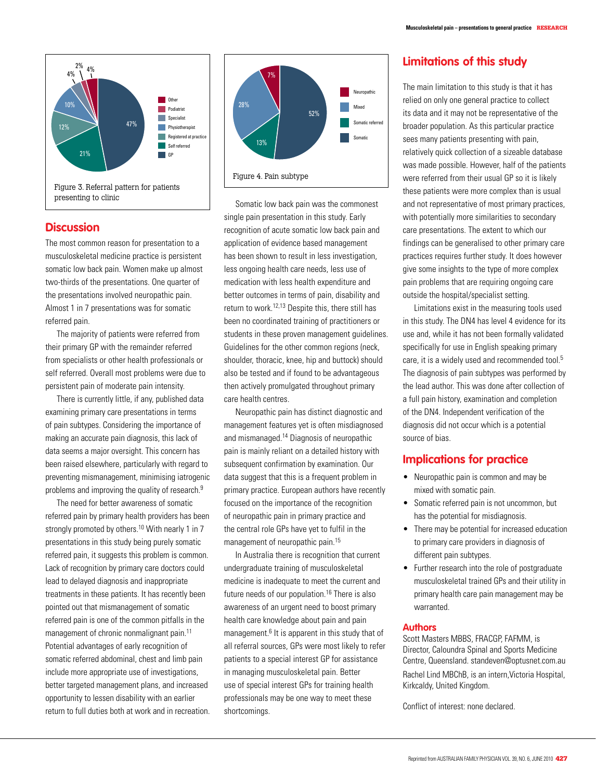

# **Discussion**

The most common reason for presentation to a musculoskeletal medicine practice is persistent somatic low back pain. Women make up almost two-thirds of the presentations. One quarter of the presentations involved neuropathic pain. Almost 1 in 7 presentations was for somatic referred pain.

The majority of patients were referred from their primary GP with the remainder referred from specialists or other health professionals or self referred. Overall most problems were due to persistent pain of moderate pain intensity.

There is currently little, if any, published data examining primary care presentations in terms of pain subtypes. Considering the importance of making an accurate pain diagnosis, this lack of data seems a major oversight. This concern has been raised elsewhere, particularly with regard to preventing mismanagement, minimising iatrogenic problems and improving the quality of research.<sup>9</sup>

The need for better awareness of somatic referred pain by primary health providers has been strongly promoted by others.<sup>10</sup> With nearly 1 in 7 presentations in this study being purely somatic referred pain, it suggests this problem is common. Lack of recognition by primary care doctors could lead to delayed diagnosis and inappropriate treatments in these patients. It has recently been pointed out that mismanagement of somatic referred pain is one of the common pitfalls in the management of chronic nonmalignant pain.<sup>11</sup> Potential advantages of early recognition of somatic referred abdominal, chest and limb pain include more appropriate use of investigations, better targeted management plans, and increased opportunity to lessen disability with an earlier return to full duties both at work and in recreation.



Somatic low back pain was the commonest single pain presentation in this study. Early recognition of acute somatic low back pain and application of evidence based management has been shown to result in less investigation, less ongoing health care needs, less use of medication with less health expenditure and better outcomes in terms of pain, disability and return to work.12,13 Despite this, there still has been no coordinated training of practitioners or students in these proven management guidelines. Guidelines for the other common regions (neck, shoulder, thoracic, knee, hip and buttock) should also be tested and if found to be advantageous then actively promulgated throughout primary care health centres.

Neuropathic pain has distinct diagnostic and management features yet is often misdiagnosed and mismanaged.14 Diagnosis of neuropathic pain is mainly reliant on a detailed history with subsequent confirmation by examination. Our data suggest that this is a frequent problem in primary practice. European authors have recently focused on the importance of the recognition of neuropathic pain in primary practice and the central role GPs have yet to fulfil in the management of neuropathic pain.15

 In Australia there is recognition that current undergraduate training of musculoskeletal medicine is inadequate to meet the current and future needs of our population.<sup>16</sup> There is also awareness of an urgent need to boost primary health care knowledge about pain and pain management.<sup>6</sup> It is apparent in this study that of all referral sources, GPs were most likely to refer patients to a special interest GP for assistance in managing musculoskeletal pain. Better use of special interest GPs for training health professionals may be one way to meet these shortcomings.

# **Limitations of this study**

The main limitation to this study is that it has relied on only one general practice to collect its data and it may not be representative of the broader population. As this particular practice sees many patients presenting with pain, relatively quick collection of a sizeable database was made possible. However, half of the patients were referred from their usual GP so it is likely these patients were more complex than is usual and not representative of most primary practices, with potentially more similarities to secondary care presentations. The extent to which our findings can be generalised to other primary care practices requires further study. It does however give some insights to the type of more complex pain problems that are requiring ongoing care outside the hospital/specialist setting.

 Limitations exist in the measuring tools used in this study. The DN4 has level 4 evidence for its use and, while it has not been formally validated specifically for use in English speaking primary care, it is a widely used and recommended tool.<sup>5</sup> The diagnosis of pain subtypes was performed by the lead author. This was done after collection of a full pain history, examination and completion of the DN4. Independent verification of the diagnosis did not occur which is a potential source of bias.

# **Implications for practice**

- Neuropathic pain is common and may be mixed with somatic pain.
- Somatic referred pain is not uncommon, but has the potential for misdiagnosis.
- There may be potential for increased education to primary care providers in diagnosis of different pain subtypes.
- Further research into the role of postgraduate musculoskeletal trained GPs and their utility in primary health care pain management may be warranted.

#### **Authors**

Scott Masters MBBS, FRACGP, FAFMM, is Director, Caloundra Spinal and Sports Medicine Centre, Queensland. standeven@optusnet.com.au

Rachel Lind MBChB, is an intern,Victoria Hospital, Kirkcaldy, United Kingdom.

Conflict of interest: none declared.